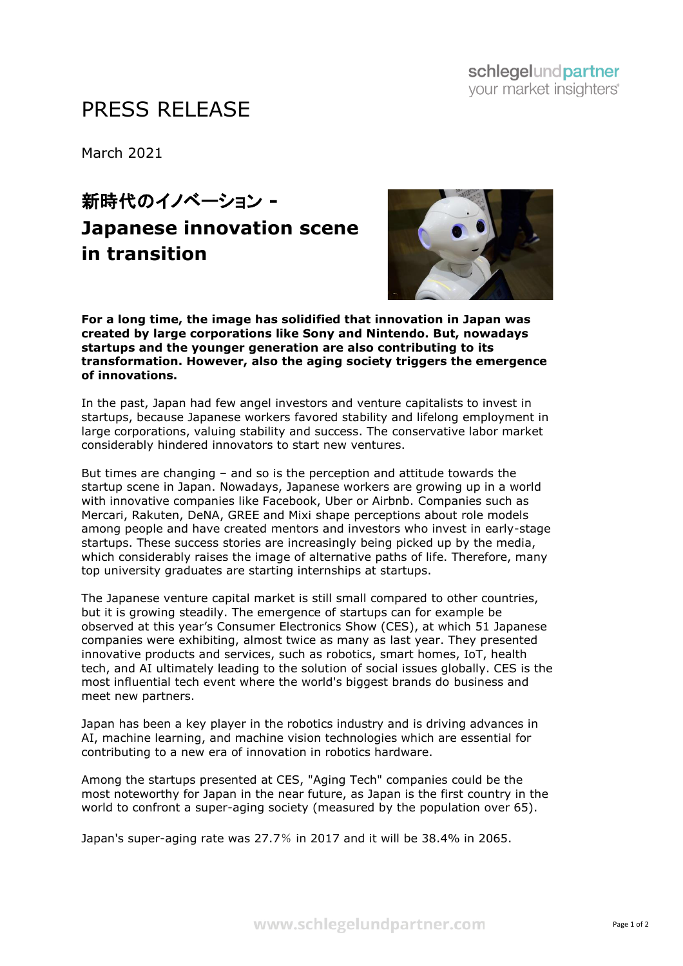# PRESS RELEASE

March 2021

# 新時代のイノベーション **- Japanese innovation scene in transition**



**For a long time, the image has solidified that innovation in Japan was created by large corporations like Sony and Nintendo. But, nowadays startups and the younger generation are also contributing to its transformation. However, also the aging society triggers the emergence of innovations.**

In the past, Japan had few angel investors and venture capitalists to invest in startups, because Japanese workers favored stability and lifelong employment in large corporations, valuing stability and success. The conservative labor market considerably hindered innovators to start new ventures.

But times are changing – and so is the perception and attitude towards the startup scene in Japan. Nowadays, Japanese workers are growing up in a world with innovative companies like Facebook, Uber or Airbnb. Companies such as Mercari, Rakuten, DeNA, GREE and Mixi shape perceptions about role models among people and have created mentors and investors who invest in early-stage startups. These success stories are increasingly being picked up by the media, which considerably raises the image of alternative paths of life. Therefore, many top university graduates are starting internships at startups.

The Japanese venture capital market is still small compared to other countries, but it is growing steadily. The emergence of startups can for example be observed at this year's Consumer Electronics Show (CES), at which 51 Japanese companies were exhibiting, almost twice as many as last year. They presented innovative products and services, such as robotics, smart homes, IoT, health tech, and AI ultimately leading to the solution of social issues globally. CES is the most influential tech event where the world's biggest brands do business and meet new partners.

Japan has been a key player in the robotics industry and is driving advances in AI, machine learning, and machine vision technologies which are essential for contributing to a new era of innovation in robotics hardware.

Among the startups presented at CES, "Aging Tech" companies could be the most noteworthy for Japan in the near future, as Japan is the first country in the world to confront a super-aging society (measured by the population over 65).

Japan's super-aging rate was 27.7% in 2017 and it will be 38.4% in 2065.